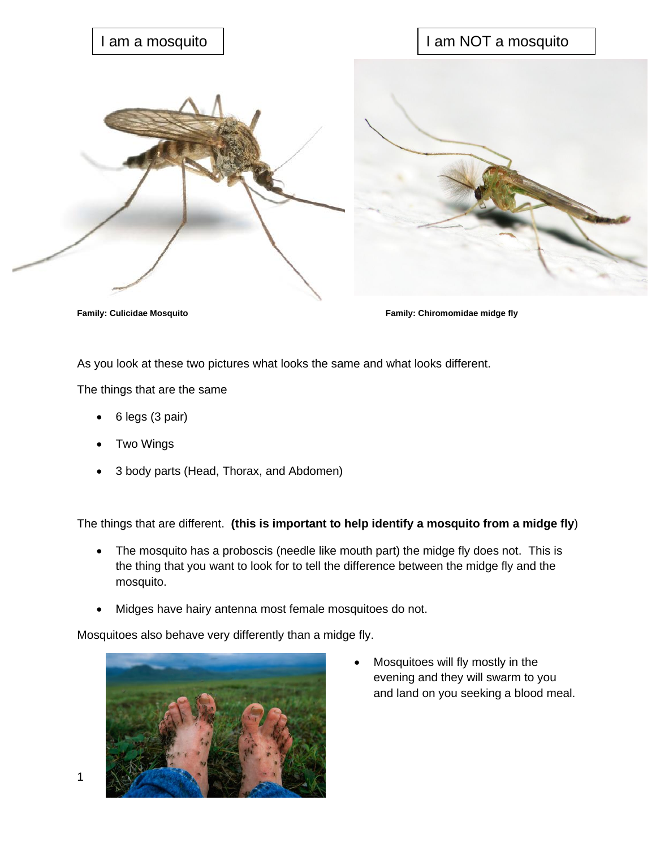

**Family: Culicidae Mosquito Family: Chiromomidae midge fly**

As you look at these two pictures what looks the same and what looks different.

The things that are the same

- 6 legs (3 pair)
- **Two Wings**
- 3 body parts (Head, Thorax, and Abdomen)

The things that are different. **(this is important to help identify a mosquito from a midge fly**)

- The mosquito has a proboscis (needle like mouth part) the midge fly does not. This is the thing that you want to look for to tell the difference between the midge fly and the mosquito.
- Midges have hairy antenna most female mosquitoes do not.

Mosquitoes also behave very differently than a midge fly.



• Mosquitoes will fly mostly in the evening and they will swarm to you and land on you seeking a blood meal.